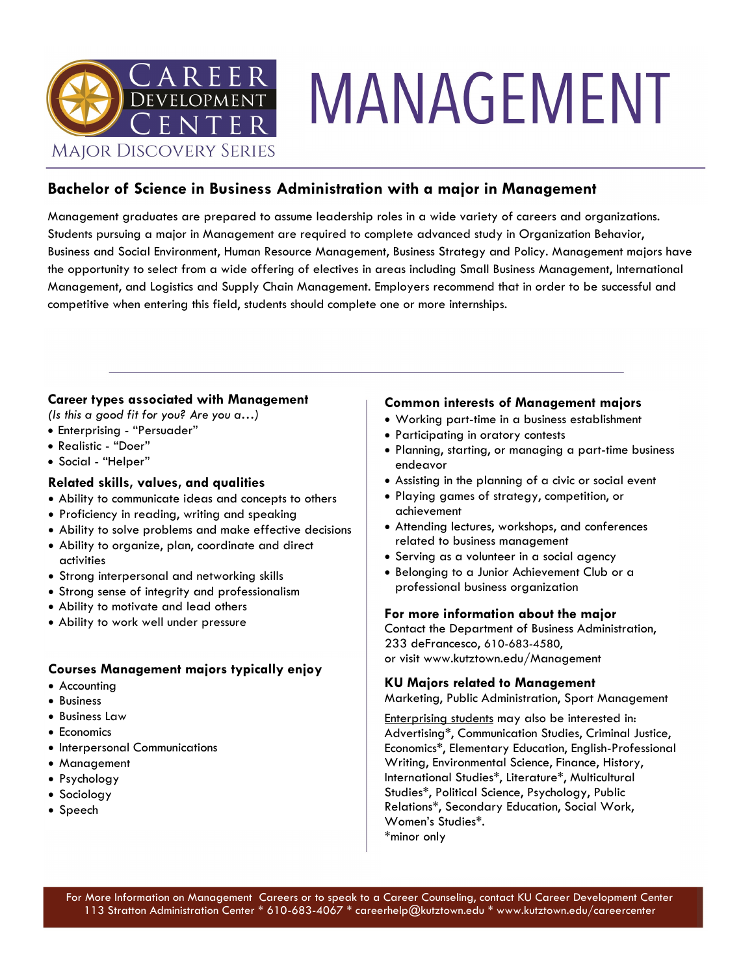

# MANAGEMENT

#### **Bachelor of Science in Business Administration with a major in Management**

Management graduates are prepared to assume leadership roles in a wide variety of careers and organizations. Students pursuing a major in Management are required to complete advanced study in Organization Behavior, Business and Social Environment, Human Resource Management, Business Strategy and Policy. Management majors have the opportunity to select from a wide offering of electives in areas including Small Business Management, International Management, and Logistics and Supply Chain Management. Employers recommend that in order to be successful and competitive when entering this field, students should complete one or more internships.

#### **Career types associated with Management**

*(Is this a good fit for you? Are you a…)*

- Enterprising "Persuader"
- Realistic "Doer"
- Social "Helper"

#### **Related skills, values, and qualities**

- Ability to communicate ideas and concepts to others
- Proficiency in reading, writing and speaking
- Ability to solve problems and make effective decisions
- Ability to organize, plan, coordinate and direct activities
- Strong interpersonal and networking skills
- Strong sense of integrity and professionalism
- Ability to motivate and lead others
- Ability to work well under pressure

#### **Courses Management majors typically enjoy**

- Accounting
- Business
- Business Law
- Economics
- Interpersonal Communications
- Management
- Psychology
- Sociology
- Speech

#### **Common interests of Management majors**

- Working part-time in a business establishment
- Participating in oratory contests
- Planning, starting, or managing a part-time business endeavor
- Assisting in the planning of a civic or social event
- Playing games of strategy, competition, or achievement
- Attending lectures, workshops, and conferences related to business management
- Serving as a volunteer in a social agency
- Belonging to a Junior Achievement Club or a professional business organization

#### **For more information about the major**

Contact the Department of Business Administration, 233 deFrancesco, 610-683-4580, or visit www.kutztown.edu/Management

#### **KU Majors related to Management**

Marketing, Public Administration, Sport Management

Enterprising students may also be interested in: Advertising\*, Communication Studies, Criminal Justice, Economics\*, Elementary Education, English-Professional Writing, Environmental Science, Finance, History, International Studies\*, Literature\*, Multicultural Studies\*, Political Science, Psychology, Public Relations\*, Secondary Education, Social Work, Women's Studies\*. \*minor only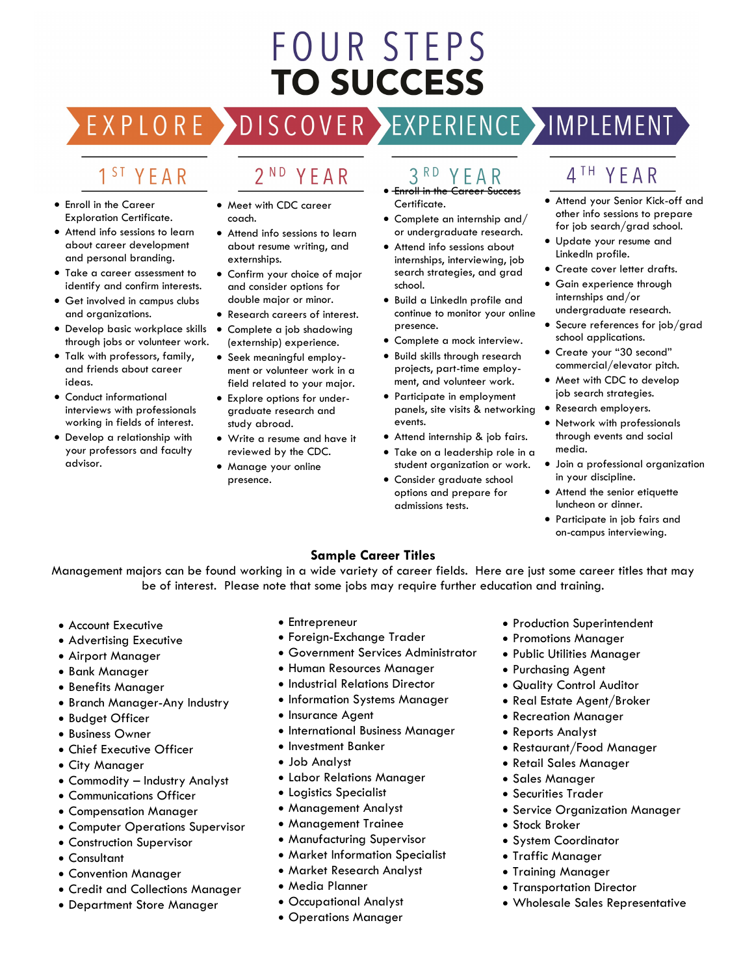## **FOUR STEPS TO SUCCESS**

#### 1 S T YEAR

EXPLORE >

- Enroll in the Career Exploration Certificate.
- Attend info sessions to learn about career development and personal branding.
- Take a career assessment to identify and confirm interests.
- Get involved in campus clubs and organizations.
- Develop basic workplace skills through jobs or volunteer work.
- Talk with professors, family, and friends about career ideas.
- Conduct informational interviews with professionals working in fields of interest.
- Develop a relationship with your professors and faculty advisor.

• Meet with CDC career coach.

YEAR

 $2^{ND}$ 

- Attend info sessions to learn about resume writing, and externships.
- Confirm your choice of major and consider options for double major or minor.
- Research careers of interest.
- Complete a job shadowing
- (externship) experience. • Seek meaningful employment or volunteer work in a
- field related to your major. • Explore options for undergraduate research and study abroad.
- Write a resume and have it reviewed by the CDC.
- Manage your online presence.

#### $3<sup>RD</sup>$ YEAR

DISCOVER EXPERIENCE MOPLEMENT

- Enroll in the Career Success Certificate.
- Complete an internship and/ or undergraduate research.
- Attend info sessions about internships, interviewing, job search strategies, and grad school.
- Build a LinkedIn profile and continue to monitor your online presence.
- Complete a mock interview.
- Build skills through research projects, part-time employment, and volunteer work.
- Participate in employment panels, site visits & networking events.
- Attend internship & job fairs.
- Take on a leadership role in a student organization or work.
- Consider graduate school options and prepare for admissions tests.

### 4<sup>TH</sup> YEAR

- Attend your Senior Kick-off and other info sessions to prepare for job search/grad school.
- Update your resume and LinkedIn profile.
- Create cover letter drafts.
- Gain experience through internships and/or undergraduate research.
- Secure references for job/grad school applications.
- Create your "30 second" commercial/elevator pitch.
- Meet with CDC to develop job search strategies.
- Research employers.
	- Network with professionals through events and social media.
	- Join a professional organization in your discipline.
	- Attend the senior etiquette luncheon or dinner.
	- Participate in job fairs and on-campus interviewing.

#### **Sample Career Titles**

Management majors can be found working in a wide variety of career fields. Here are just some career titles that may be of interest. Please note that some jobs may require further education and training.

- Account Executive
- Advertising Executive
- Airport Manager
- Bank Manager
- Benefits Manager
- Branch Manager-Any Industry
- Budget Officer
- Business Owner
- Chief Executive Officer
- City Manager
- Commodity Industry Analyst
- Communications Officer
- Compensation Manager
- Computer Operations Supervisor
- Construction Supervisor
- Consultant
- Convention Manager
- Credit and Collections Manager
- Department Store Manager
- Entrepreneur
- Foreign-Exchange Trader
- Government Services Administrator
- Human Resources Manager
- Industrial Relations Director
- Information Systems Manager
- Insurance Agent
- International Business Manager
- Investment Banker
- Job Analyst
- Labor Relations Manager
- Logistics Specialist
- Management Analyst
- Management Trainee
- Manufacturing Supervisor
- Market Information Specialist
- Market Research Analyst
- Media Planner
- Occupational Analyst
- Operations Manager
- Production Superintendent
- Promotions Manager
- Public Utilities Manager
- Purchasing Agent
- Quality Control Auditor
- Real Estate Agent/Broker
- Recreation Manager
- Reports Analyst
- Restaurant/Food Manager
- Retail Sales Manager
- Sales Manager
- Securities Trader
- Service Organization Manager

• Wholesale Sales Representative

- Stock Broker
- System Coordinator

• Transportation Director

• Traffic Manager • Training Manager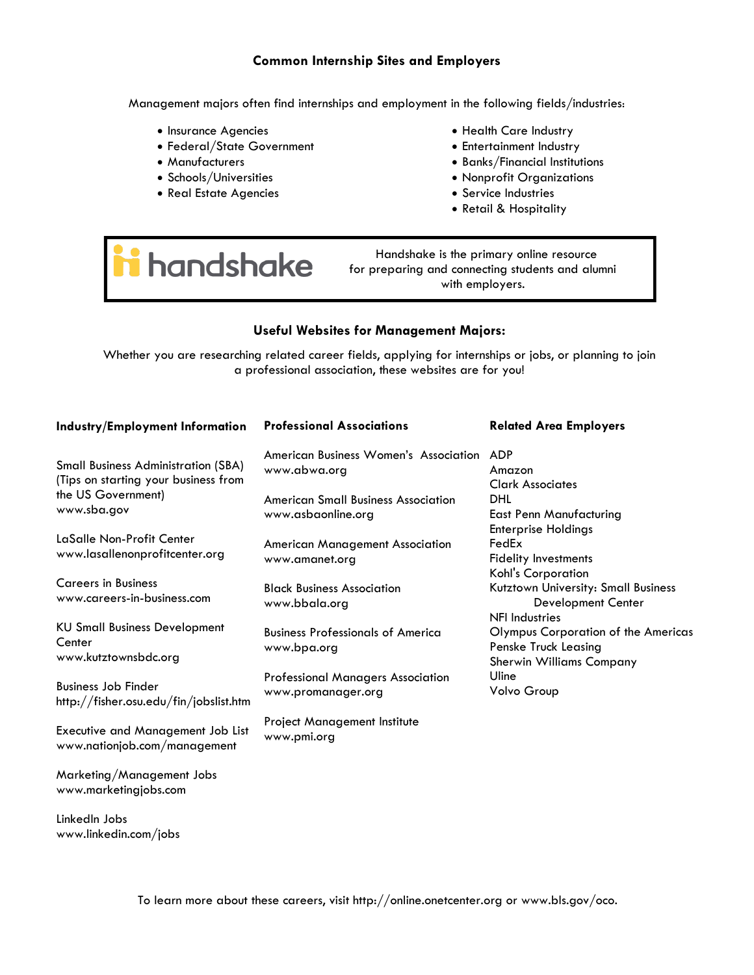#### **Common Internship Sites and Employers**

Management majors often find internships and employment in the following fields/industries:

- Insurance Agencies
- Federal/State Government
- Manufacturers
- Schools/Universities
- Real Estate Agencies
- Health Care Industry
- Entertainment Industry
- Banks/Financial Institutions
- Nonprofit Organizations
- Service Industries
- Retail & Hospitality

# handshake

 Handshake is the primary online resource for preparing and connecting students and alumni with employers.

#### **Useful Websites for Management Majors:**

Whether you are researching related career fields, applying for internships or jobs, or planning to join a professional association, these websites are for you!

| <b>Industry/Employment Information</b>                                                                                  | <b>Professional Associations</b>                                 | <b>Related Area Employers</b>                                                                  |
|-------------------------------------------------------------------------------------------------------------------------|------------------------------------------------------------------|------------------------------------------------------------------------------------------------|
| <b>Small Business Administration (SBA)</b><br>(Tips on starting your business from<br>the US Government)<br>www.sba.gov | American Business Women's Association<br>www.abwa.org            | <b>ADP</b><br>Amazon<br><b>Clark Associates</b>                                                |
|                                                                                                                         | <b>American Small Business Association</b><br>www.asbaonline.org | DHL<br><b>East Penn Manufacturing</b><br><b>Enterprise Holdings</b>                            |
| LaSalle Non-Profit Center<br>www.lasallenonprofitcenter.org                                                             | <b>American Management Association</b><br>www.amanet.org         | FedEx<br><b>Fidelity Investments</b><br>Kohl's Corporation                                     |
| <b>Careers in Business</b><br>www.careers-in-business.com                                                               | <b>Black Business Association</b><br>www.bbala.org               | Kutztown University: Small Business<br><b>Development Center</b><br><b>NFI Industries</b>      |
| <b>KU Small Business Development</b><br>Center<br>www.kutztownsbdc.org                                                  | <b>Business Professionals of America</b><br>www.bpa.org          | Olympus Corporation of the Americas<br>Penske Truck Leasing<br><b>Sherwin Williams Company</b> |
| <b>Business Job Finder</b><br>http://fisher.osu.edu/fin/jobslist.htm                                                    | <b>Professional Managers Association</b><br>www.promanager.org   | Uline<br>Volvo Group                                                                           |
| <b>Executive and Management Job List</b><br>www.nationjob.com/management                                                | Project Management Institute<br>www.pmi.org                      |                                                                                                |
| Marketing/Management Jobs<br>www.marketingjobs.com                                                                      |                                                                  |                                                                                                |

LinkedIn Jobs www.linkedin.com/jobs

To learn more about these careers, visit http://online.onetcenter.org or www.bls.gov/oco.